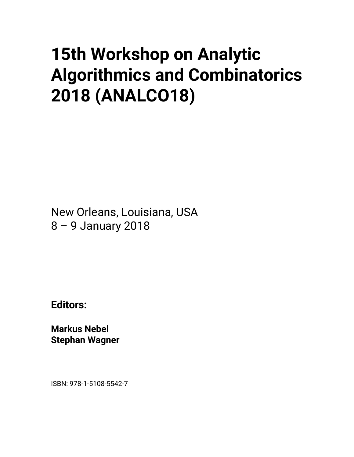## **15th Workshop on Analytic Algorithmics and Combinatorics 2018 (ANALCO18)**

New Orleans, Louisiana, USA 8 – 9 January 2018

**Editors:** 

**Markus Nebel Stephan Wagner** 

ISBN: 978-1-5108-5542-7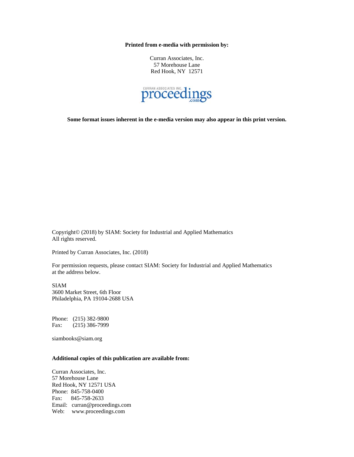**Printed from e-media with permission by:** 

Curran Associates, Inc. 57 Morehouse Lane Red Hook, NY 12571



**Some format issues inherent in the e-media version may also appear in this print version.** 

Copyright© (2018) by SIAM: Society for Industrial and Applied Mathematics All rights reserved.

Printed by Curran Associates, Inc. (2018)

For permission requests, please contact SIAM: Society for Industrial and Applied Mathematics at the address below.

SIAM 3600 Market Street, 6th Floor Philadelphia, PA 19104-2688 USA

Phone: (215) 382-9800 Fax: (215) 386-7999

siambooks@siam.org

## **Additional copies of this publication are available from:**

Curran Associates, Inc. 57 Morehouse Lane Red Hook, NY 12571 USA Phone: 845-758-0400 Fax: 845-758-2633 Email: curran@proceedings.com Web: www.proceedings.com